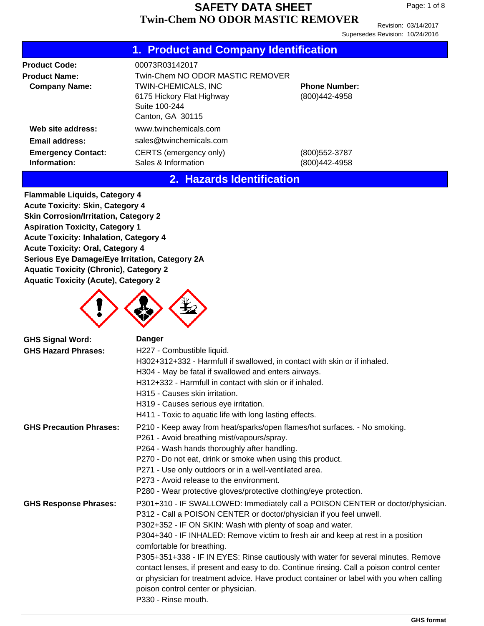Revision: 03/14/2017 Supersedes Revision: 10/24/2016

|                                                                                  | 1. Product and Company Identification                                                                                                       |                                       |
|----------------------------------------------------------------------------------|---------------------------------------------------------------------------------------------------------------------------------------------|---------------------------------------|
| <b>Product Code:</b><br><b>Product Name:</b><br><b>Company Name:</b>             | 00073R03142017<br>Twin-Chem NO ODOR MASTIC REMOVER<br>TWIN-CHEMICALS, INC<br>6175 Hickory Flat Highway<br>Suite 100-244<br>Canton, GA 30115 | <b>Phone Number:</b><br>(800)442-4958 |
| Web site address:<br>Email address:<br><b>Emergency Contact:</b><br>Information: | www.twinchemicals.com<br>sales@twinchemicals.com<br>CERTS (emergency only)<br>Sales & Information                                           | (800) 552-3787<br>(800)442-4958       |

### **2. Hazards Identification**

**Flammable Liquids, Category 4 Acute Toxicity: Skin, Category 4 Skin Corrosion/Irritation, Category 2 Aspiration Toxicity, Category 1 Acute Toxicity: Inhalation, Category 4 Acute Toxicity: Oral, Category 4 Serious Eye Damage/Eye Irritation, Category 2A Aquatic Toxicity (Chronic), Category 2 Aquatic Toxicity (Acute), Category 2**



| <b>GHS Signal Word:</b>        | <b>Danger</b>                                                                                                                                                                                                       |
|--------------------------------|---------------------------------------------------------------------------------------------------------------------------------------------------------------------------------------------------------------------|
| <b>GHS Hazard Phrases:</b>     | H227 - Combustible liquid.                                                                                                                                                                                          |
|                                | H302+312+332 - Harmfull if swallowed, in contact with skin or if inhaled.                                                                                                                                           |
|                                | H304 - May be fatal if swallowed and enters airways.                                                                                                                                                                |
|                                | H312+332 - Harmfull in contact with skin or if inhaled.                                                                                                                                                             |
|                                | H315 - Causes skin irritation.                                                                                                                                                                                      |
|                                | H319 - Causes serious eye irritation.                                                                                                                                                                               |
|                                | H411 - Toxic to aquatic life with long lasting effects.                                                                                                                                                             |
| <b>GHS Precaution Phrases:</b> | P210 - Keep away from heat/sparks/open flames/hot surfaces. - No smoking.                                                                                                                                           |
|                                | P261 - Avoid breathing mist/vapours/spray.                                                                                                                                                                          |
|                                | P264 - Wash hands thoroughly after handling.                                                                                                                                                                        |
|                                | P270 - Do not eat, drink or smoke when using this product.                                                                                                                                                          |
|                                | P271 - Use only outdoors or in a well-ventilated area.                                                                                                                                                              |
|                                | P273 - Avoid release to the environment.                                                                                                                                                                            |
|                                | P280 - Wear protective gloves/protective clothing/eye protection.                                                                                                                                                   |
| <b>GHS Response Phrases:</b>   | P301+310 - IF SWALLOWED: Immediately call a POISON CENTER or doctor/physician.<br>P312 - Call a POISON CENTER or doctor/physician if you feel unwell.<br>P302+352 - IF ON SKIN: Wash with plenty of soap and water. |
|                                | P304+340 - IF INHALED: Remove victim to fresh air and keep at rest in a position<br>comfortable for breathing.                                                                                                      |
|                                | P305+351+338 - IF IN EYES: Rinse cautiously with water for several minutes. Remove                                                                                                                                  |
|                                | contact lenses, if present and easy to do. Continue rinsing. Call a poison control center                                                                                                                           |
|                                | or physician for treatment advice. Have product container or label with you when calling                                                                                                                            |
|                                | poison control center or physician.                                                                                                                                                                                 |
|                                | P330 - Rinse mouth.                                                                                                                                                                                                 |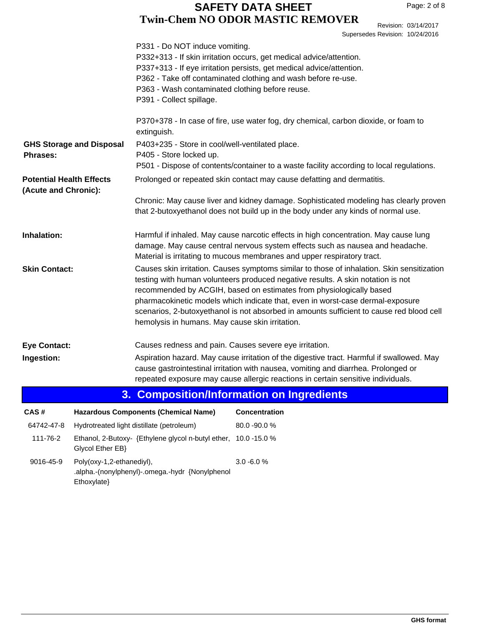Revision: 03/14/2017 Supersedes Revision: 10/24/2016

|                                                    |                           | P331 - Do NOT induce vomiting.<br>P363 - Wash contaminated clothing before reuse.<br>P391 - Collect spillage.                                                          | P332+313 - If skin irritation occurs, get medical advice/attention.<br>P337+313 - If eye irritation persists, get medical advice/attention.<br>P362 - Take off contaminated clothing and wash before re-use.                                                                                                                                                                                                                       |  |  |
|----------------------------------------------------|---------------------------|------------------------------------------------------------------------------------------------------------------------------------------------------------------------|------------------------------------------------------------------------------------------------------------------------------------------------------------------------------------------------------------------------------------------------------------------------------------------------------------------------------------------------------------------------------------------------------------------------------------|--|--|
|                                                    |                           | extinguish.                                                                                                                                                            | P370+378 - In case of fire, use water fog, dry chemical, carbon dioxide, or foam to                                                                                                                                                                                                                                                                                                                                                |  |  |
| <b>GHS Storage and Disposal</b><br><b>Phrases:</b> |                           | P403+235 - Store in cool/well-ventilated place.<br>P405 - Store locked up.<br>P501 - Dispose of contents/container to a waste facility according to local regulations. |                                                                                                                                                                                                                                                                                                                                                                                                                                    |  |  |
| <b>Potential Health Effects</b>                    |                           |                                                                                                                                                                        | Prolonged or repeated skin contact may cause defatting and dermatitis.                                                                                                                                                                                                                                                                                                                                                             |  |  |
| (Acute and Chronic):                               |                           |                                                                                                                                                                        | Chronic: May cause liver and kidney damage. Sophisticated modeling has clearly proven<br>that 2-butoxyethanol does not build up in the body under any kinds of normal use.                                                                                                                                                                                                                                                         |  |  |
| Inhalation:                                        |                           |                                                                                                                                                                        | Harmful if inhaled. May cause narcotic effects in high concentration. May cause lung<br>damage. May cause central nervous system effects such as nausea and headache.<br>Material is irritating to mucous membranes and upper respiratory tract.                                                                                                                                                                                   |  |  |
| <b>Skin Contact:</b>                               |                           | hemolysis in humans. May cause skin irritation.                                                                                                                        | Causes skin irritation. Causes symptoms similar to those of inhalation. Skin sensitization<br>testing with human volunteers produced negative results. A skin notation is not<br>recommended by ACGIH, based on estimates from physiologically based<br>pharmacokinetic models which indicate that, even in worst-case dermal-exposure<br>scenarios, 2-butoxyethanol is not absorbed in amounts sufficient to cause red blood cell |  |  |
| <b>Eye Contact:</b>                                |                           | Causes redness and pain. Causes severe eye irritation.                                                                                                                 |                                                                                                                                                                                                                                                                                                                                                                                                                                    |  |  |
| Ingestion:                                         |                           |                                                                                                                                                                        | Aspiration hazard. May cause irritation of the digestive tract. Harmful if swallowed. May<br>cause gastrointestinal irritation with nausea, vomiting and diarrhea. Prolonged or<br>repeated exposure may cause allergic reactions in certain sensitive individuals.                                                                                                                                                                |  |  |
|                                                    |                           |                                                                                                                                                                        | 3. Composition/Information on Ingredients                                                                                                                                                                                                                                                                                                                                                                                          |  |  |
| CAS#                                               |                           | <b>Hazardous Components (Chemical Name)</b>                                                                                                                            | <b>Concentration</b>                                                                                                                                                                                                                                                                                                                                                                                                               |  |  |
| 64742-47-8                                         |                           | Hydrotreated light distillate (petroleum)                                                                                                                              | 80.0 - 90.0 %                                                                                                                                                                                                                                                                                                                                                                                                                      |  |  |
| 111-76-2                                           | Glycol Ether EB}          | Ethanol, 2-Butoxy- {Ethylene glycol n-butyl ether, 10.0 -15.0 %                                                                                                        |                                                                                                                                                                                                                                                                                                                                                                                                                                    |  |  |
| 9016-45-9                                          | Poly(oxy-1,2-ethanediyl), | .alpha.-(nonylphenyl)-.omega.-hydr {Nonylphenol                                                                                                                        | $3.0 - 6.0 %$                                                                                                                                                                                                                                                                                                                                                                                                                      |  |  |

Ethoxylate}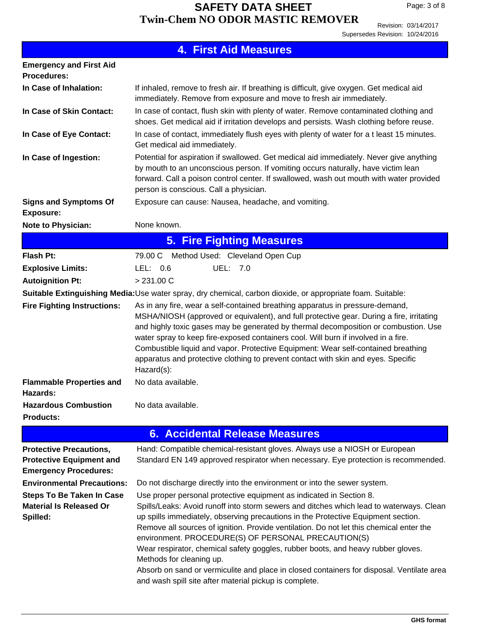| <b>4. First Aid Measures</b>                                                                                                                                                                                                                                                                                                                                                                                                                                                                                                                                                                                                                                                 |
|------------------------------------------------------------------------------------------------------------------------------------------------------------------------------------------------------------------------------------------------------------------------------------------------------------------------------------------------------------------------------------------------------------------------------------------------------------------------------------------------------------------------------------------------------------------------------------------------------------------------------------------------------------------------------|
|                                                                                                                                                                                                                                                                                                                                                                                                                                                                                                                                                                                                                                                                              |
| If inhaled, remove to fresh air. If breathing is difficult, give oxygen. Get medical aid<br>immediately. Remove from exposure and move to fresh air immediately.                                                                                                                                                                                                                                                                                                                                                                                                                                                                                                             |
| In case of contact, flush skin with plenty of water. Remove contaminated clothing and<br>shoes. Get medical aid if irritation develops and persists. Wash clothing before reuse.                                                                                                                                                                                                                                                                                                                                                                                                                                                                                             |
| In case of contact, immediately flush eyes with plenty of water for a t least 15 minutes.<br>Get medical aid immediately.                                                                                                                                                                                                                                                                                                                                                                                                                                                                                                                                                    |
| Potential for aspiration if swallowed. Get medical aid immediately. Never give anything<br>by mouth to an unconscious person. If vomiting occurs naturally, have victim lean<br>forward. Call a poison control center. If swallowed, wash out mouth with water provided<br>person is conscious. Call a physician.<br>Exposure can cause: Nausea, headache, and vomiting.                                                                                                                                                                                                                                                                                                     |
|                                                                                                                                                                                                                                                                                                                                                                                                                                                                                                                                                                                                                                                                              |
| None known.                                                                                                                                                                                                                                                                                                                                                                                                                                                                                                                                                                                                                                                                  |
| <b>5. Fire Fighting Measures</b>                                                                                                                                                                                                                                                                                                                                                                                                                                                                                                                                                                                                                                             |
| Method Used: Cleveland Open Cup<br>79.00 C                                                                                                                                                                                                                                                                                                                                                                                                                                                                                                                                                                                                                                   |
| LEL: $0.6$<br>UEL: 7.0                                                                                                                                                                                                                                                                                                                                                                                                                                                                                                                                                                                                                                                       |
| > 231.00 C                                                                                                                                                                                                                                                                                                                                                                                                                                                                                                                                                                                                                                                                   |
| Suitable Extinguishing Media: Use water spray, dry chemical, carbon dioxide, or appropriate foam. Suitable:                                                                                                                                                                                                                                                                                                                                                                                                                                                                                                                                                                  |
| As in any fire, wear a self-contained breathing apparatus in pressure-demand,<br>MSHA/NIOSH (approved or equivalent), and full protective gear. During a fire, irritating<br>and highly toxic gases may be generated by thermal decomposition or combustion. Use<br>water spray to keep fire-exposed containers cool. Will burn if involved in a fire.<br>Combustible liquid and vapor. Protective Equipment: Wear self-contained breathing<br>apparatus and protective clothing to prevent contact with skin and eyes. Specific<br>Hazard(s):                                                                                                                               |
| No data available.                                                                                                                                                                                                                                                                                                                                                                                                                                                                                                                                                                                                                                                           |
| No data available.                                                                                                                                                                                                                                                                                                                                                                                                                                                                                                                                                                                                                                                           |
|                                                                                                                                                                                                                                                                                                                                                                                                                                                                                                                                                                                                                                                                              |
| <b>6. Accidental Release Measures</b>                                                                                                                                                                                                                                                                                                                                                                                                                                                                                                                                                                                                                                        |
| Hand: Compatible chemical-resistant gloves. Always use a NIOSH or European<br>Standard EN 149 approved respirator when necessary. Eye protection is recommended.                                                                                                                                                                                                                                                                                                                                                                                                                                                                                                             |
| Do not discharge directly into the environment or into the sewer system.                                                                                                                                                                                                                                                                                                                                                                                                                                                                                                                                                                                                     |
| Use proper personal protective equipment as indicated in Section 8.<br>Spills/Leaks: Avoid runoff into storm sewers and ditches which lead to waterways. Clean<br>up spills immediately, observing precautions in the Protective Equipment section.<br>Remove all sources of ignition. Provide ventilation. Do not let this chemical enter the<br>environment. PROCEDURE(S) OF PERSONAL PRECAUTION(S)<br>Wear respirator, chemical safety goggles, rubber boots, and heavy rubber gloves.<br>Methods for cleaning up.<br>Absorb on sand or vermiculite and place in closed containers for disposal. Ventilate area<br>and wash spill site after material pickup is complete. |
|                                                                                                                                                                                                                                                                                                                                                                                                                                                                                                                                                                                                                                                                              |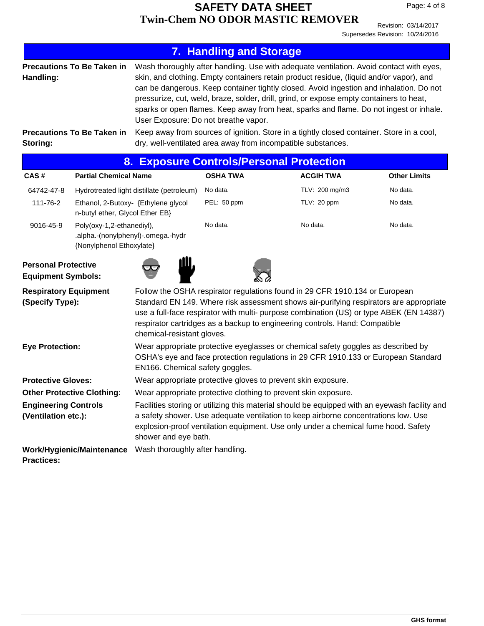|                                                                                                                                                                                                                                                                                                                                                                                                                                  |                                                                                                                                                                                                                                      |                                                                                                                                                                                                                                                                                                                                                                                                                                                                                                                                                                                                                                                                         | <b>7. Handling and Storage</b> |  |                  |                     |
|----------------------------------------------------------------------------------------------------------------------------------------------------------------------------------------------------------------------------------------------------------------------------------------------------------------------------------------------------------------------------------------------------------------------------------|--------------------------------------------------------------------------------------------------------------------------------------------------------------------------------------------------------------------------------------|-------------------------------------------------------------------------------------------------------------------------------------------------------------------------------------------------------------------------------------------------------------------------------------------------------------------------------------------------------------------------------------------------------------------------------------------------------------------------------------------------------------------------------------------------------------------------------------------------------------------------------------------------------------------------|--------------------------------|--|------------------|---------------------|
| Handling:<br>Storing:                                                                                                                                                                                                                                                                                                                                                                                                            | <b>Precautions To Be Taken in</b><br><b>Precautions To Be Taken in</b>                                                                                                                                                               | Wash thoroughly after handling. Use with adequate ventilation. Avoid contact with eyes,<br>skin, and clothing. Empty containers retain product residue, (liquid and/or vapor), and<br>can be dangerous. Keep container tightly closed. Avoid ingestion and inhalation. Do not<br>pressurize, cut, weld, braze, solder, drill, grind, or expose empty containers to heat,<br>sparks or open flames. Keep away from heat, sparks and flame. Do not ingest or inhale.<br>User Exposure: Do not breathe vapor.<br>Keep away from sources of ignition. Store in a tightly closed container. Store in a cool,<br>dry, well-ventilated area away from incompatible substances. |                                |  |                  |                     |
|                                                                                                                                                                                                                                                                                                                                                                                                                                  |                                                                                                                                                                                                                                      | 8. Exposure Controls/Personal Protection                                                                                                                                                                                                                                                                                                                                                                                                                                                                                                                                                                                                                                |                                |  |                  |                     |
| CAS#                                                                                                                                                                                                                                                                                                                                                                                                                             | <b>Partial Chemical Name</b>                                                                                                                                                                                                         |                                                                                                                                                                                                                                                                                                                                                                                                                                                                                                                                                                                                                                                                         | <b>OSHA TWA</b>                |  | <b>ACGIH TWA</b> | <b>Other Limits</b> |
| 64742-47-8                                                                                                                                                                                                                                                                                                                                                                                                                       |                                                                                                                                                                                                                                      | Hydrotreated light distillate (petroleum)                                                                                                                                                                                                                                                                                                                                                                                                                                                                                                                                                                                                                               | No data.                       |  | TLV: 200 mg/m3   | No data.            |
| 111-76-2                                                                                                                                                                                                                                                                                                                                                                                                                         | Ethanol, 2-Butoxy- {Ethylene glycol<br>n-butyl ether, Glycol Ether EB}                                                                                                                                                               |                                                                                                                                                                                                                                                                                                                                                                                                                                                                                                                                                                                                                                                                         | PEL: 50 ppm                    |  | TLV: 20 ppm      | No data.            |
| 9016-45-9                                                                                                                                                                                                                                                                                                                                                                                                                        | Poly(oxy-1,2-ethanediyl),<br>.alpha.-(nonylphenyl)-.omega.-hydr<br>{Nonylphenol Ethoxylate}                                                                                                                                          |                                                                                                                                                                                                                                                                                                                                                                                                                                                                                                                                                                                                                                                                         | No data.                       |  | No data.         | No data.            |
| <b>Personal Protective</b><br><b>Equipment Symbols:</b>                                                                                                                                                                                                                                                                                                                                                                          |                                                                                                                                                                                                                                      |                                                                                                                                                                                                                                                                                                                                                                                                                                                                                                                                                                                                                                                                         |                                |  |                  |                     |
| Follow the OSHA respirator regulations found in 29 CFR 1910.134 or European<br><b>Respiratory Equipment</b><br>Standard EN 149. Where risk assessment shows air-purifying respirators are appropriate<br>(Specify Type):<br>use a full-face respirator with multi- purpose combination (US) or type ABEK (EN 14387)<br>respirator cartridges as a backup to engineering controls. Hand: Compatible<br>chemical-resistant gloves. |                                                                                                                                                                                                                                      |                                                                                                                                                                                                                                                                                                                                                                                                                                                                                                                                                                                                                                                                         |                                |  |                  |                     |
|                                                                                                                                                                                                                                                                                                                                                                                                                                  | Wear appropriate protective eyeglasses or chemical safety goggles as described by<br><b>Eye Protection:</b><br>OSHA's eye and face protection regulations in 29 CFR 1910.133 or European Standard<br>EN166. Chemical safety goggles. |                                                                                                                                                                                                                                                                                                                                                                                                                                                                                                                                                                                                                                                                         |                                |  |                  |                     |
|                                                                                                                                                                                                                                                                                                                                                                                                                                  | <b>Protective Gloves:</b><br>Wear appropriate protective gloves to prevent skin exposure.                                                                                                                                            |                                                                                                                                                                                                                                                                                                                                                                                                                                                                                                                                                                                                                                                                         |                                |  |                  |                     |
| <b>Other Protective Clothing:</b>                                                                                                                                                                                                                                                                                                                                                                                                |                                                                                                                                                                                                                                      | Wear appropriate protective clothing to prevent skin exposure.                                                                                                                                                                                                                                                                                                                                                                                                                                                                                                                                                                                                          |                                |  |                  |                     |
| <b>Engineering Controls</b><br>(Ventilation etc.):                                                                                                                                                                                                                                                                                                                                                                               |                                                                                                                                                                                                                                      | Facilities storing or utilizing this material should be equipped with an eyewash facility and<br>a safety shower. Use adequate ventilation to keep airborne concentrations low. Use<br>explosion-proof ventilation equipment. Use only under a chemical fume hood. Safety<br>shower and eye bath.                                                                                                                                                                                                                                                                                                                                                                       |                                |  |                  |                     |
| <b>Practices:</b>                                                                                                                                                                                                                                                                                                                                                                                                                | <b>Work/Hygienic/Maintenance</b>                                                                                                                                                                                                     | Wash thoroughly after handling.                                                                                                                                                                                                                                                                                                                                                                                                                                                                                                                                                                                                                                         |                                |  |                  |                     |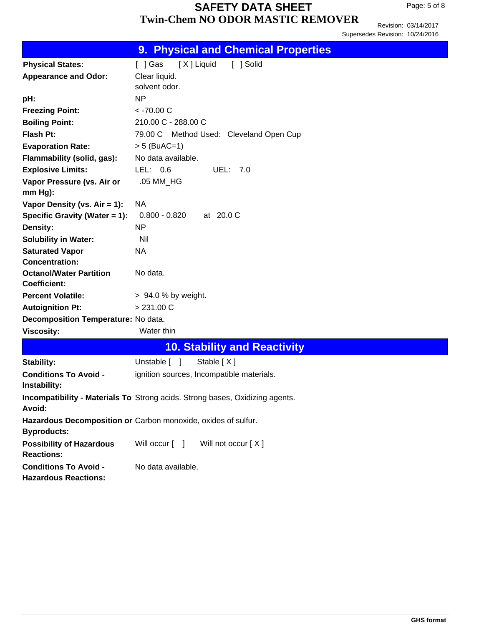|                                                             | <b>9. Physical and Chemical Properties</b>                                   |
|-------------------------------------------------------------|------------------------------------------------------------------------------|
| <b>Physical States:</b>                                     | [X] Liquid<br>[ ] Solid<br>[ ] Gas                                           |
| <b>Appearance and Odor:</b>                                 | Clear liquid.                                                                |
|                                                             | solvent odor.                                                                |
| pH:                                                         | <b>NP</b>                                                                    |
| <b>Freezing Point:</b>                                      | $<$ -70.00 C                                                                 |
| <b>Boiling Point:</b>                                       | 210.00 C - 288.00 C                                                          |
| Flash Pt:                                                   | 79.00 C Method Used: Cleveland Open Cup                                      |
| <b>Evaporation Rate:</b>                                    | $> 5$ (BuAC=1)                                                               |
| Flammability (solid, gas):                                  | No data available.                                                           |
| <b>Explosive Limits:</b>                                    | LEL: $0.6$<br>UEL: 7.0                                                       |
| Vapor Pressure (vs. Air or                                  | .05 MM_HG                                                                    |
| mm Hg):                                                     |                                                                              |
| Vapor Density (vs. $Air = 1$ ):                             | <b>NA</b>                                                                    |
| Specific Gravity (Water = 1):                               | $0.800 - 0.820$<br>at 20.0 C                                                 |
| Density:                                                    | N <sub>P</sub>                                                               |
| <b>Solubility in Water:</b>                                 | Nil                                                                          |
| <b>Saturated Vapor</b>                                      | NA.                                                                          |
| <b>Concentration:</b><br><b>Octanol/Water Partition</b>     | No data.                                                                     |
| <b>Coefficient:</b>                                         |                                                                              |
| <b>Percent Volatile:</b>                                    | $> 94.0 %$ by weight.                                                        |
| <b>Autoignition Pt:</b>                                     | > 231.00 C                                                                   |
| Decomposition Temperature: No data.                         |                                                                              |
| <b>Viscosity:</b>                                           | Water thin                                                                   |
|                                                             | <b>10. Stability and Reactivity</b>                                          |
| Stability:                                                  | Unstable $\lceil \quad \rceil$<br>Stable $[X]$                               |
| <b>Conditions To Avoid -</b><br>Instability:                | ignition sources, Incompatible materials.                                    |
| Avoid:                                                      | Incompatibility - Materials To Strong acids. Strong bases, Oxidizing agents. |
| <b>Byproducts:</b>                                          | Hazardous Decomposition or Carbon monoxide, oxides of sulfur.                |
| <b>Possibility of Hazardous</b><br><b>Reactions:</b>        | Will occur $\lceil \quad \rceil$<br>Will not occur [X]                       |
| <b>Conditions To Avoid -</b><br><b>Hazardous Reactions:</b> | No data available.                                                           |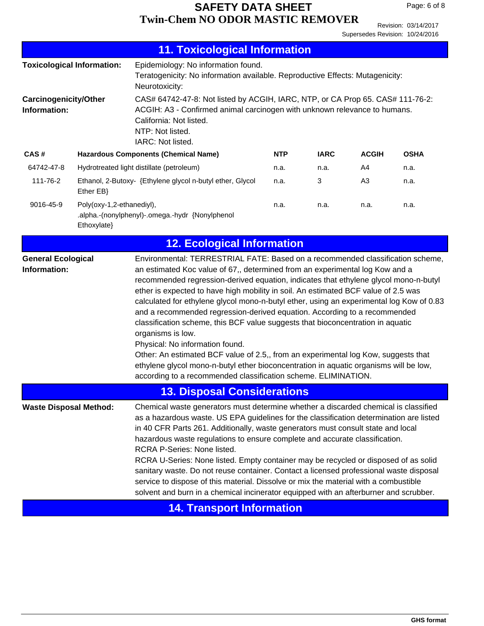| <b>11. Toxicological Information</b>                                                                                                                                                                                                                                                                                                                                                                                                                                                                                                                                                                                                                                                                                                                                                                                                                                                                                                                           |                                                                                                                                                                                                                                                                 |                                                           |            |             |                |             |
|----------------------------------------------------------------------------------------------------------------------------------------------------------------------------------------------------------------------------------------------------------------------------------------------------------------------------------------------------------------------------------------------------------------------------------------------------------------------------------------------------------------------------------------------------------------------------------------------------------------------------------------------------------------------------------------------------------------------------------------------------------------------------------------------------------------------------------------------------------------------------------------------------------------------------------------------------------------|-----------------------------------------------------------------------------------------------------------------------------------------------------------------------------------------------------------------------------------------------------------------|-----------------------------------------------------------|------------|-------------|----------------|-------------|
|                                                                                                                                                                                                                                                                                                                                                                                                                                                                                                                                                                                                                                                                                                                                                                                                                                                                                                                                                                | Epidemiology: No information found.<br><b>Toxicological Information:</b><br>Teratogenicity: No information available. Reproductive Effects: Mutagenicity:<br>Neurotoxicity:                                                                                     |                                                           |            |             |                |             |
| Information:                                                                                                                                                                                                                                                                                                                                                                                                                                                                                                                                                                                                                                                                                                                                                                                                                                                                                                                                                   | CAS# 64742-47-8: Not listed by ACGIH, IARC, NTP, or CA Prop 65. CAS# 111-76-2:<br><b>Carcinogenicity/Other</b><br>ACGIH: A3 - Confirmed animal carcinogen with unknown relevance to humans.<br>California: Not listed.<br>NTP: Not listed.<br>IARC: Not listed. |                                                           |            |             |                |             |
| CAS#                                                                                                                                                                                                                                                                                                                                                                                                                                                                                                                                                                                                                                                                                                                                                                                                                                                                                                                                                           |                                                                                                                                                                                                                                                                 | <b>Hazardous Components (Chemical Name)</b>               | <b>NTP</b> | <b>IARC</b> | <b>ACGIH</b>   | <b>OSHA</b> |
| 64742-47-8                                                                                                                                                                                                                                                                                                                                                                                                                                                                                                                                                                                                                                                                                                                                                                                                                                                                                                                                                     |                                                                                                                                                                                                                                                                 | Hydrotreated light distillate (petroleum)                 | n.a.       | n.a.        | A4             | n.a.        |
| 111-76-2                                                                                                                                                                                                                                                                                                                                                                                                                                                                                                                                                                                                                                                                                                                                                                                                                                                                                                                                                       | Ether EB}                                                                                                                                                                                                                                                       | Ethanol, 2-Butoxy- {Ethylene glycol n-butyl ether, Glycol | n.a.       | 3           | A <sub>3</sub> | n.a.        |
| 9016-45-9                                                                                                                                                                                                                                                                                                                                                                                                                                                                                                                                                                                                                                                                                                                                                                                                                                                                                                                                                      | Poly(oxy-1,2-ethanediyl),<br>n.a.<br>n.a.<br>n.a.<br>n.a.<br>.alpha.-(nonylphenyl)-.omega.-hydr {Nonylphenol<br>Ethoxylate}                                                                                                                                     |                                                           |            |             |                |             |
|                                                                                                                                                                                                                                                                                                                                                                                                                                                                                                                                                                                                                                                                                                                                                                                                                                                                                                                                                                |                                                                                                                                                                                                                                                                 | <b>12. Ecological Information</b>                         |            |             |                |             |
| Environmental: TERRESTRIAL FATE: Based on a recommended classification scheme,<br><b>General Ecological</b><br>an estimated Koc value of 67,, determined from an experimental log Kow and a<br>Information:<br>recommended regression-derived equation, indicates that ethylene glycol mono-n-butyl<br>ether is expected to have high mobility in soil. An estimated BCF value of 2.5 was<br>calculated for ethylene glycol mono-n-butyl ether, using an experimental log Kow of 0.83<br>and a recommended regression-derived equation. According to a recommended<br>classification scheme, this BCF value suggests that bioconcentration in aquatic<br>organisms is low.<br>Physical: No information found.<br>Other: An estimated BCF value of 2.5,, from an experimental log Kow, suggests that<br>ethylene glycol mono-n-butyl ether bioconcentration in aquatic organisms will be low,<br>according to a recommended classification scheme. ELIMINATION. |                                                                                                                                                                                                                                                                 |                                                           |            |             |                |             |
|                                                                                                                                                                                                                                                                                                                                                                                                                                                                                                                                                                                                                                                                                                                                                                                                                                                                                                                                                                |                                                                                                                                                                                                                                                                 | <b>13. Disposal Considerations</b>                        |            |             |                |             |
| Chemical waste generators must determine whether a discarded chemical is classified<br><b>Waste Disposal Method:</b><br>as a hazardous waste. US EPA guidelines for the classification determination are listed<br>in 40 CFR Parts 261. Additionally, waste generators must consult state and local<br>hazardous waste regulations to ensure complete and accurate classification.<br>RCRA P-Series: None listed.<br>RCRA U-Series: None listed. Empty container may be recycled or disposed of as solid<br>sanitary waste. Do not reuse container. Contact a licensed professional waste disposal<br>service to dispose of this material. Dissolve or mix the material with a combustible<br>solvent and burn in a chemical incinerator equipped with an afterburner and scrubber.                                                                                                                                                                            |                                                                                                                                                                                                                                                                 |                                                           |            |             |                |             |
|                                                                                                                                                                                                                                                                                                                                                                                                                                                                                                                                                                                                                                                                                                                                                                                                                                                                                                                                                                |                                                                                                                                                                                                                                                                 | <b>14. Transport Information</b>                          |            |             |                |             |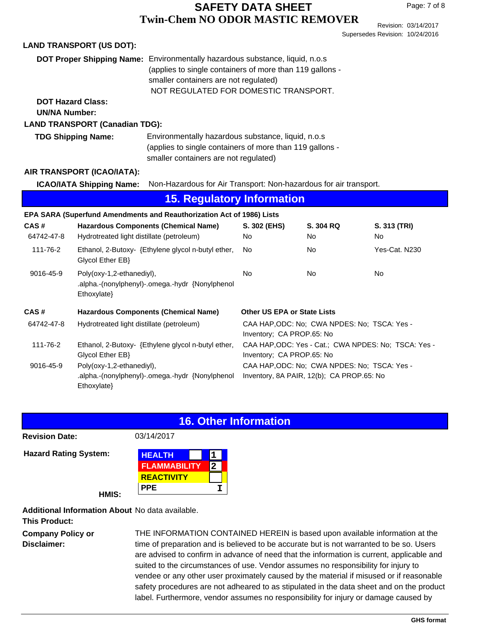Revision: 03/14/2017 Supersedes Revision: 10/24/2016

|                                                                                    | <b>LAND TRANSPORT (US DOT):</b>           |                                                                                                                                                                                                                                   |                                    |                                                                                           |                           |
|------------------------------------------------------------------------------------|-------------------------------------------|-----------------------------------------------------------------------------------------------------------------------------------------------------------------------------------------------------------------------------------|------------------------------------|-------------------------------------------------------------------------------------------|---------------------------|
|                                                                                    |                                           | <b>DOT Proper Shipping Name:</b> Environmentally hazardous substance, liquid, n.o.s<br>(applies to single containers of more than 119 gallons -<br>smaller containers are not regulated)<br>NOT REGULATED FOR DOMESTIC TRANSPORT. |                                    |                                                                                           |                           |
| <b>DOT Hazard Class:</b><br><b>UN/NA Number:</b>                                   |                                           |                                                                                                                                                                                                                                   |                                    |                                                                                           |                           |
|                                                                                    | <b>LAND TRANSPORT (Canadian TDG):</b>     |                                                                                                                                                                                                                                   |                                    |                                                                                           |                           |
|                                                                                    | <b>TDG Shipping Name:</b>                 | Environmentally hazardous substance, liquid, n.o.s<br>(applies to single containers of more than 119 gallons -<br>smaller containers are not regulated)                                                                           |                                    |                                                                                           |                           |
|                                                                                    | AIR TRANSPORT (ICAO/IATA):                |                                                                                                                                                                                                                                   |                                    |                                                                                           |                           |
|                                                                                    | <b>ICAO/IATA Shipping Name:</b>           | Non-Hazardous for Air Transport: Non-hazardous for air transport.                                                                                                                                                                 |                                    |                                                                                           |                           |
|                                                                                    |                                           | <b>15. Regulatory Information</b>                                                                                                                                                                                                 |                                    |                                                                                           |                           |
|                                                                                    |                                           | EPA SARA (Superfund Amendments and Reauthorization Act of 1986) Lists                                                                                                                                                             |                                    |                                                                                           |                           |
| CAS#<br>64742-47-8                                                                 | Hydrotreated light distillate (petroleum) | <b>Hazardous Components (Chemical Name)</b>                                                                                                                                                                                       | S. 302 (EHS)<br><b>No</b>          | S. 304 RQ<br>No.                                                                          | S. 313 (TRI)<br><b>No</b> |
| 111-76-2                                                                           | Glycol Ether EB}                          | Ethanol, 2-Butoxy- {Ethylene glycol n-butyl ether,                                                                                                                                                                                | <b>No</b>                          | <b>No</b>                                                                                 | Yes-Cat. N230             |
| 9016-45-9                                                                          | Poly(oxy-1,2-ethanediyl),<br>Ethoxylate}  | .alpha.-(nonylphenyl)-.omega.-hydr {Nonylphenol                                                                                                                                                                                   | <b>No</b>                          | <b>No</b>                                                                                 | <b>No</b>                 |
| CAS#                                                                               |                                           | <b>Hazardous Components (Chemical Name)</b>                                                                                                                                                                                       | <b>Other US EPA or State Lists</b> |                                                                                           |                           |
| 64742-47-8                                                                         | Hydrotreated light distillate (petroleum) |                                                                                                                                                                                                                                   | Inventory; CA PROP.65: No          | CAA HAP, ODC: No; CWA NPDES: No; TSCA: Yes -                                              |                           |
| 111-76-2<br>Ethanol, 2-Butoxy- {Ethylene glycol n-butyl ether,<br>Glycol Ether EB} |                                           | CAA HAP, ODC: Yes - Cat.; CWA NPDES: No; TSCA: Yes -<br>Inventory; CA PROP.65: No                                                                                                                                                 |                                    |                                                                                           |                           |
| 9016-45-9                                                                          | Poly(oxy-1,2-ethanediyl),<br>Ethoxylate}  | .alpha.-(nonylphenyl)-.omega.-hydr {Nonylphenol                                                                                                                                                                                   |                                    | CAA HAP, ODC: No; CWA NPDES: No; TSCA: Yes -<br>Inventory, 8A PAIR, 12(b); CA PROP.65: No |                           |

#### **16. Other Information**

**Revision Date:** 03/14/2017

**Hazard Rating System:** 

| HEALTH              |  |
|---------------------|--|
| <b>FLAMMABILITY</b> |  |
| <b>REACTIVITY</b>   |  |
| PPE                 |  |

**HMIS:**

**Additional Information About** No data available.

**This Product:**

**Company Policy or Disclaimer:**

THE INFORMATION CONTAINED HEREIN is based upon available information at the time of preparation and is believed to be accurate but is not warranted to be so. Users are advised to confirm in advance of need that the information is current, applicable and suited to the circumstances of use. Vendor assumes no responsibility for injury to vendee or any other user proximately caused by the material if misused or if reasonable safety procedures are not adheared to as stipulated in the data sheet and on the product label. Furthermore, vendor assumes no responsibility for injury or damage caused by